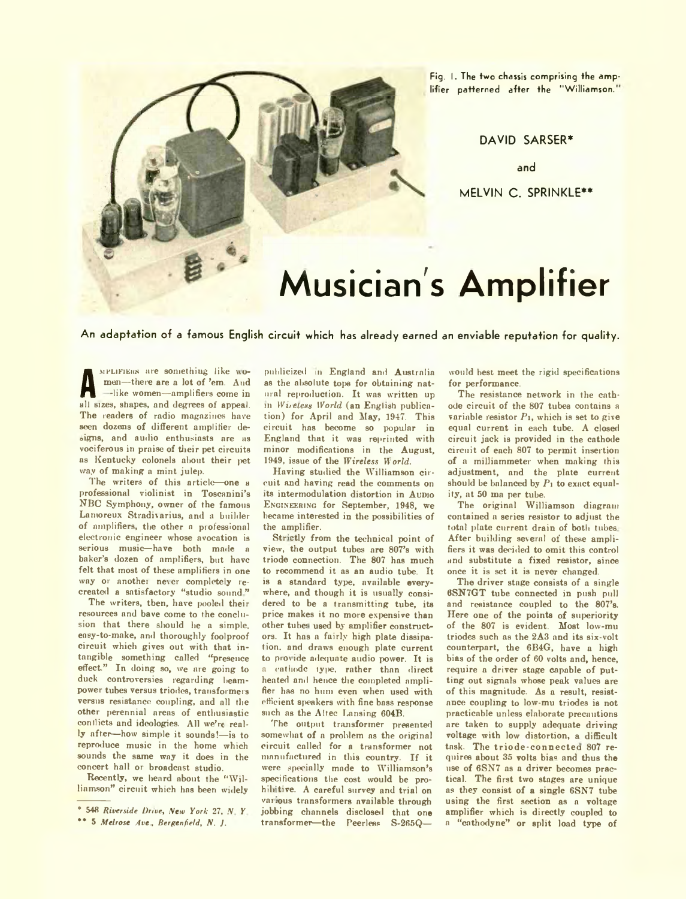

Fig. I. The two chassis comprising the amplifier patterned after the "Williamson."

**DAVID SARSER\***

**and**

**MELVIN C . SPRINKLE\*\***

# **Musician's Amplifier**

**An adaptation of a famous English circuit which has already earned an enviable reputation for quality.**

**A** all all all all bizes, shapes, and degrees of appeal. MPLIFIERS are something like women—there are a lot of 'em. And -like women—amplifiers come in The readers of radio magazines have seen dozens of different amplifier designs, and audio enthusiasts are as vociferous in praise of their pet circuits as Kentucky colonels about their pet way of making a mint julep.

The writers of this article—one a professional violinist in Toscanini's NBC Symphony, owner of the famous Lantoreux Stradivarius, and a builder of amplifiers, the other a professional electronic engineer whose avocation is serious music-have both made a baker's dozen of amplifiers, but have felt that most of these amplifiers in one way or anothei never completely recreated a satisfactory "studio sound "

The writers, then, have pooled their resources and bave come to the conclusion that there should he a simple, easy-to-make, and thoroughly foolproof circuit which gives out with that intangible something called "presence effect." In doing so, we are going to duck controversies regarding beampower tubes versus triodes, transformers versus resistance coupling, and all the other perennial areas of enthusiastic conflicts and ideologies. All we're really after—how simple it sounds!—is to reproduce music in the home which sounds the same way it does in the concert hall or broadcast studio.

Recently, we heard about the "Williamson" circuit which has been widely

publicized in England and Australia as the absolute tope for obtaining natural reproduction. It was written up m *Wireless World* (an English publication) for April and May, 1947. This circuit has become so popular in England that it was reprinted with minor modifications in the August, 1949, issue of the *Wireless W orld.*

Having studied the Williamson circuit and having read the comments on its intermodulation distortion in AuDio ENGINEERING for September, 1948, we became interested in the possibilities of the amplifier.

Strictly from the technical point of view, the output tubes are 807's with triode connection. The 807 has much to recommend it as an audio tube. It is a standard type, available everywhere, and though it is usually considered to be a transmitting tube, its price makes it no more expensive than other tubes used by amplifier constructors. It has a fairly high plate dissipation. and draws enough plate current to provide adequate audio power. It is a cathode type, rather than direct heated and hence the completed amplifier has no hum even when used with efficient speakers with fine bass response such as the Altec Lansing 604B.

The output transformer presented somewhat of a problem as the original circuit called for a transformer not manufactured in this country. If it were specially made to Williamson's specifications the cost would be prohibitive. A careful survey and trial on var.ous transformers available through jobbing channels disclosed that one transformer—the Peerless S-265Q—

would best meet the rigid specifications for performance.

The resistance network in the cathode circuit of the 807 tubes contains a variable resistor  $P_1$ , which is set to give equal current in each tube. A closed circuit jack is provided in the cathode circuit of each 807 to permit insertion of a milliammeter when making this adjustment, and the plate current should be balanced by  $P_1$  to exact equality, at 50 ma per tube.

The original Williamson diagram contained a series resistor to adjust the total plate current drain of both tubes After building several of these amplifiers it was decided to omit this control and substitute a fixed resistor, since once it is set it is never changed.

The driver stage consists of a single 6SN7GT tube connected in push pull and resistance coupled to the 807's. Here one of the points of superiority of the 807 is evident. Most low-mu triodes such as the 2A3 and its six-volt counterpart, the 6B4G, have a high bias of the order of 60 volts and, hence, require a driver stage capable of putting out signals whose peak values are of this magnitude. As a result, resistance coupling to low-mu triodes is not practicable unless elaborate precautions are taken to supply adequate driving voltage with low distortion, a difficult task. The triode-connected 807 requires about 35 volts bias and thus the use of 6SN7 as a driver becomes practical. The first two stages are unique as they consist of a single 6SN7 tube using the first section as a voltage amplifier which is directly coupled to a "cathodyne" or split load type of

<sup>&</sup>lt;sup>\*</sup> 548 *Riverside Drive, New York 27, N.Y.* 

<sup>\*\* 5</sup> *Melrose Ave., Bergenfield,* A. *J.*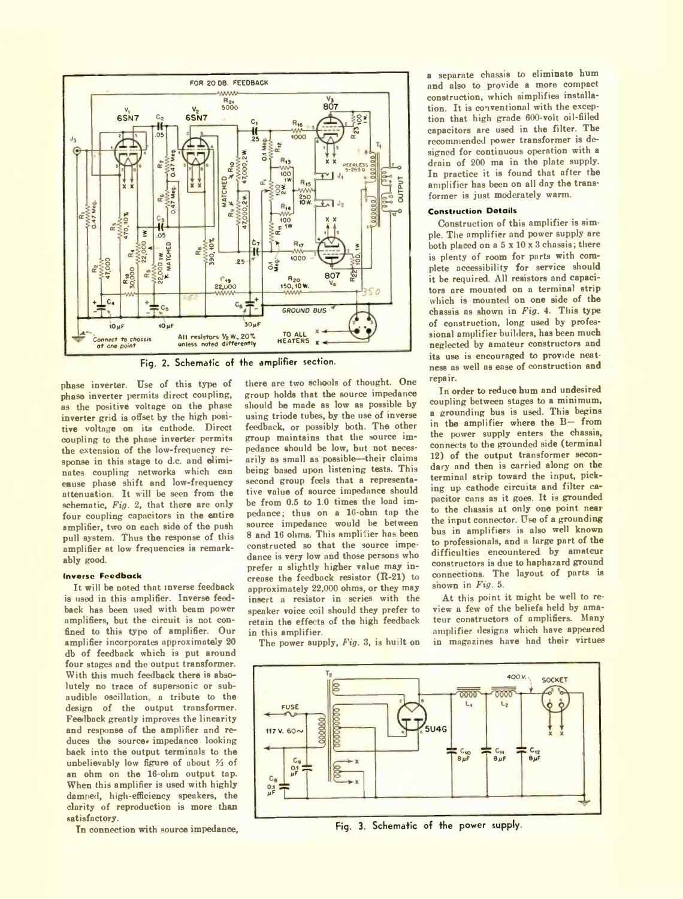

Fig. 2. Schematic of the amplifier section.

phase inverter. Use of this type of phase inverter permits direct coupling, as the positive voltage on the phase inverter grid is offset by the high positive voltage on its cathode. Direct coupling to the phase inverter permits the extension of the low-frequency response in this stage to d.c. and eliminates coupling networks which can cause phase shift and low-frequency attenuation. It will be seen from the schematic, *Fig.* 2, that there are only four coupling capacitors in the entire amplifier, two on each side of the push pull system. Thus the response of this amplifier at low frequencies is remarkably good.

## **In verse F e e d b a ck**

It will be noted that inverse feedback is used in this amplifier. Inverse feedback has been used with beam power amplifiers, but the circuit is not confined to this type of amplifier. Our amplifier incorporates approximately 20 db of feedback which is put around four stages and the output transformer. With this much feedback there is absolutely no trace of supersonic or subaudible oscillation a tribute to the design of the output transformer. Feedback greatly improves the linearity and response of the amplifier and reduces the source. impedance looking back into the output terminals to the unbelievably low figure of about  $\frac{2}{3}$  of an ohm on the 16-olim output tap. When this amplifier is used with highly damped, high-efficiency speakers, the clarity of reproduction is more than satisfactory.

In connection with source impedance,

there are two schools of thought. One group holds that the source impedance should be made as low as possible by using triode tubes, by the use of inverse feedback, or possibly both. The other group maintains that the source impedance should be low, but not necesarily as small as possible—their claims being based upon listening tests. This second group feels that a representative value of source impedance should be from 0.5 to 1.0 times the load impedance; thus on a 16-ohin tap the source impedance would be between 8 and 16 ohms. This amplifier has been constructed so that the source impedance is very low and those persons who prefer a slightly higher value may increase the feedback resistor (R-21) to approximately 22,000 ohms, or they may insert a resistor in series with the speaker voice coil should they prefer to retain the effects of the high feedback in this amplifier.

The power supply, *Fig.* 3, is huilt on

a separate chassis to eliminate hum and also to provide a more compact construction, which simplifies installation. It is conventional with the exception that high grade 600-volt oil-filled capacitors are used in the filter. The recommended power transformer is designed for continuous operation with a drain of 200 ma in the plate supply. In practice it is found that after the amplifier has been on all day the transformer is just moderately warm.

## **Construction Details**

Construction of this amplifier is simple. The amplifier and power supply are both placed on a  $5 \times 10 \times 3$  chassis; there is plenty of room for parts with complete accessibility for service should it be required. All resistors and capacitors are mounted on a terminal strip which is mounted on one side of the chassis as shown in *Fig.* 4. This type of construction, long used by professional amplifier builders, has been much neglected by amateur constructors and its use is encouraged to provide neatness as well as ease of construction and repair.

In order to reduce hum and undesired coupling between stages to a minimum, a grounding bus is used. This begins in the amplifier where the B— from the power supply enters the chassis, connects to the grounded side (terminal 12) of the output transformer secondary and then is carried along on the terminal strip toward the input, picking up cathode circuits and filter capacitor cans as it goes. It is grounded to the chassis at only one point neai the input connector. Use of a grounding bus in amplifiers is also well known to professionals, and a large part of the difficulties encountered by amateur constructors is due to haphazard ground connections. The layout of parts is snown in *Fig.* 5.

At this point it might be well to review a few of the beliefs held by amateur constructors of amplifiers. Many amplifier designs which have appeared in magazines have had their virtues



Fig. 3. Schematic of the power supply.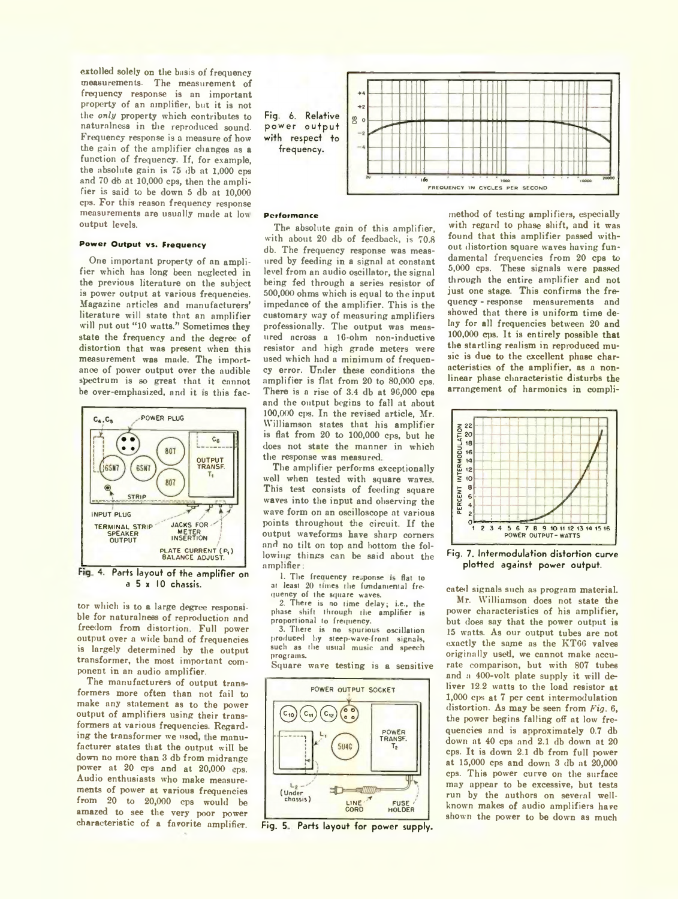extolled solely on the basis of frequency measurements. The measurement of frequency response is an important property of an amplifier, but it is not the *only* property which contributes to naturalness in the reproduced sound. Frequency response is a measure of how the gain of the amplifier changes as a function of frequency. If, for example, the absolute gain is 75 db at 1,000 cps and 70 db at 10,000 cps, then the amplifier is said to be down 5 db at 10,000 cps. For this reason frequency response measurements are usually made at low output levels.

## **Power Output vs. Frequency**

One important property of an amplifier which has long been neglected in the previous literature on the subject is power output at various frequencies. Magazine articles and manufacturers' literature will state that an amplifier will put out "10 watts." Sometimes they state the frequency and the degree of distortion that was present when this measurement was made. The importance of power output over the audible spectrum is so great that it cannot be over-emphasized, and it is this fac-



a 5 x 10 chassis.

tor which is to a large degree responsible for naturalness of reproduction and freedom from distortion Full power output over a wide band of frequencies is largely determined by the output transformer, the most important component in an audio amplifier.

The manufacturers of output transformers more often than not fail to make any statement as to the power output of amplifiers using their transformers at various frequencies. Regarding the transformer we used, he manufacturer states that the output will be down no more than 3 db from midrange power at 20 cps and at 20,000 eps. Audio enthusiasts who make measurements of power at various frequencies from 20 to 20,000 cps would be amazed to see the very poor power characteristic of a favorite amplifier.



## **Perfo rm an ce**

The absolute gain of this amplifier. with about 20 db of feedback, is 70.8 db. The frequency response was measured by feeding in a signal at constant level from an audio oscillator, the signal being fed through a series resistor of 500.000 ohms which is equal to the input impedance of the amplifier. This is the customary way of measuring amplifiers professionally. The output was measured across a lG-ohm non-inductive resistor and high grade meters were used which had a minimum of frequency error. Under these conditions the amplifier is flat from 20 to 80,000 cps. There is a rise of  $3.4$  db at  $96,000$  cps and the output begins to fall at about 100.000 cps. In the revised article, Mr. Williamson states that his amplifier is flat from 20 to 100,000 cps, but he does not state the manner in which the response was measured.

The amplifier performs exceptionally well when tested with square waves. This test consists of feeding square waves into the input and observing the wave form on an oscilloscope at various points throughout the circuit. If the output waveforms have sharp corners and no tilt on top and bottom the following things can be said about the amplifier:

1. The frequency response is flat to at least 20 times the fundamental frequency of the square waves.

2. There is no time delay; i.e., the phase shift through the amplifier is proportional to frequency.

3. There is no spurious oscillation produced hy steep-wave-front signals, such as the usual music and speech programs.

Square wave testing is a sensitive



Fig. 5. Parts layout for power supply.

method of testing amplifiers, especially with regard to phase shift, and it was found that this amplifier passed without distortion square waves having fundamental frequencies from 20 cps to 5.000 cps. These signals were passed through the entire amplifier and not just one stage. This confirms the frequency - response measurements and showed that there is uniform time delay for all frequencies between 20 and 100.000 cps. It is entirely possible that the startling realism in reproduced music is due to the excellent phase characteristics of the amplifier, as a nonlinear phase characteristic disturbs the arrangement of harmonics in compli-



Fig. 7. Intermodulation distortion curve plotted against power output.

cated signals such as program material.

Mr. Williamson does not state the power characteristics of his amplifier, but does say that the power output is 15 watts. As our output tubes are not exactly the same as the KT00 valves originally used, we cannot make accurate comparison, but with 807 tubes and a 400-volt plate supply it will deliver 12.2 watts to the load resistor at 1,000 cps at 7 per cent intermodulation distortion. As may be seen from *Fig.* 6, the power begins falling off at low frequencies and is approximately 0.7 db down at 40 cps and 2.1 db down at 20 cps. It is down 2.1 db from full power at 15,000 cps and dowm 3 db at 20,000 cps. This power curve on the surface may appear to be excessive, but tests run by the authors on several wellknown makes of audio amplifiers have shown the power to be down as much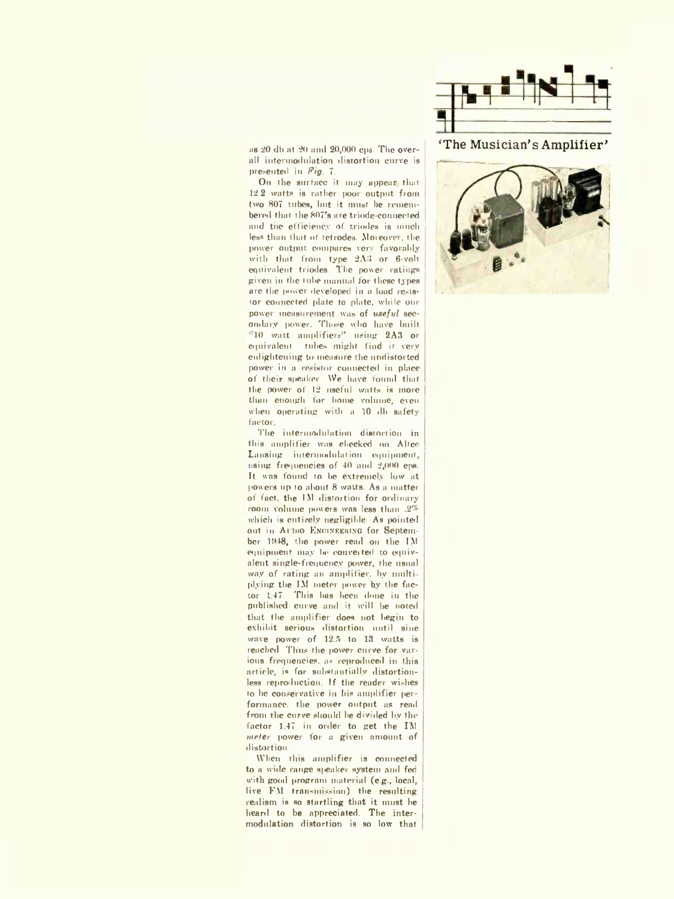

as 20 db at 20 ami 20,000 cps. The overall intermodulation distortion curve is presented in *Fig.* 7.

On the surface it may appear that 12.2 watts is rather poor output from two 807 tubes, hut it must be remembered that the 807's are triode-connected and the efficiency of triodes is much less than that of tetrodes. Moreover, the power output compares very favorably with that from type 2A3 or 6-volt equivalent triodes. The power ratings given in the tube manual for these types are the power developed in a load resistor connected plate to plate, while our power measurement was of *useful* secondary power. Those who have built TO watt amplifiers" using 2A3 or equivalent, tubes might find it very enlightening to measure the undistorted power in a resistor connected in place of their speaker. We have found that the power of 12 nseful watts is more than enough for home volume, even when operating with a 10 db safety factor.

The intermodulation distortion in this amplifier was checked on Altec Lansing intermodulation equipment, using frequencies of 40 and 2,000 eps. It was found to be extremely low at powers up to about 8 watts. As a matter of fact, the IM distortion for ordinary room volume powers was less than .2% which is entirely negligible. As pointed out in At nio ENGINEERING for September 1948, the power read on the IM equipment may be converted to equivalent single-frequency power, the usual way of rating an amplifier, by multiplying the IM meter power bv the factor 1.47. This has been done in the published curve and it will he noted that the amplifier does not begin to exhibit serious distortion until sine wave power of 12.5 to 13 watts is reached. Thus the power curve for various frequencies, as reproduced in this article, is for substantially distortionless reproduction. If the reader wishes to he conservative in his amplifier performance, the power output as read from the curve should he divided by the factor 1.47 in order to get the IM *mefer* power for a given amount of distortion.

When this amplifier is connected to a wide range speaker system and fed with good program material (e.g., local, live FM transmission) the resulting realism is so startling that it must be heard to be appreciated. The intermodulation distortion is so low that

## 'The Musician's Amplifier'

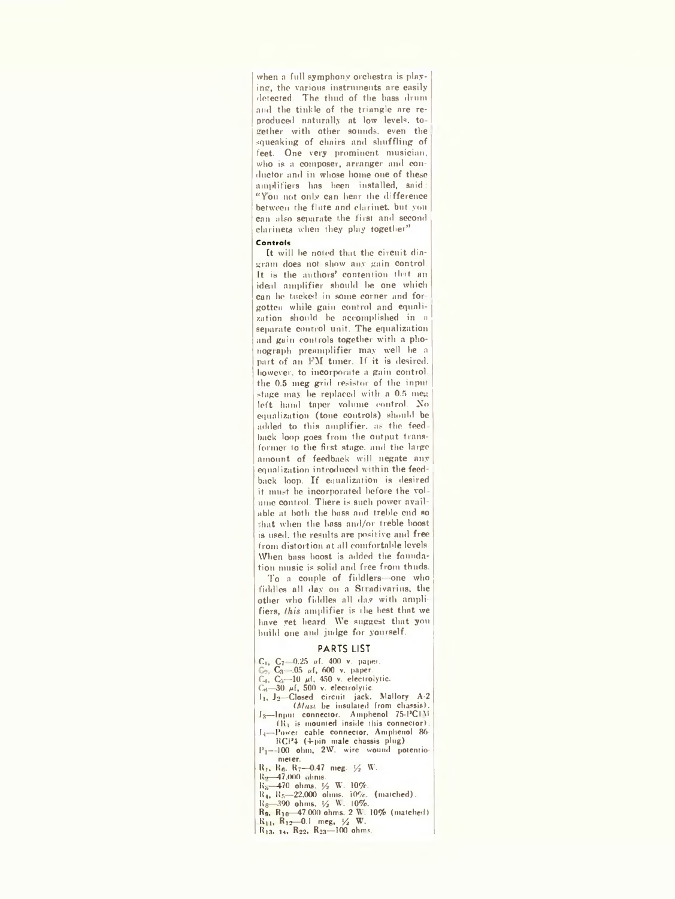when a full symphony orchestra is playing, the various instruments are easily detected. The thud of the bass drum and the tinkle of the triangle are reproduced naturally at low levels, to gether with other sounds, even the squeaking of chairs and shuffling of feet. One very prominent musician, who is a composer, arranger and conductor and in whose home one of these amplifiers has been installed, said: "You not only can hear the difference between the flute and clarinet, but you can also separate the first and second clarinets when they play together".

#### Controls

ft will be noted that, the circuit diagram does not show any gain control. It is the authors' contention tint an ideal amplifier should be one which Can he tucked in some corner and for gotten while gain control and equalization should be accomplished in n separate control unit. The equalization and gain controls together with a phonograph preamplifier may well he a part of an PM tuner. If it is desired, however, to incorporate a gain control, the 0.5 meg grid resistor of the input stage may he replaced with a 0.5 meg left hand taper volume control. No equalization (tone controls) should be added to this amplifier, as the feed back loop goes from the output transformer to the first stage, and the large amount of feedback will negate any equalization introduced within the feedback loop. If equalization is desired it must be incorporated before the vol ume control. There is such power available at both the bass and treble end so chat when the bass and/or treble boost is used, the results are positive and free from distortion at all comfortable levels. When bass boost is added the foundation music is solid and free from thuds.

To a couple of fiddlers—one who fiddles all day on a Stradivarius, the other who fiddles all day with amplifiers, *(his* amplifier is the best that we have yet heard. We suggest that you build one and judge for yourself.

## PARTS LIST

- $C_1$ ,  $C_7$  -0.25  $\mu$ f. 400 v. paper.  $G_2$ ,  $C_3$  -.05  $\mu$ f, 600 v. paper. C<sub>4</sub>, C<sub>3</sub>-10  $\mu$ f, 450 v. electrolytic.<br>C<sub>6</sub>-30  $\mu$ f, 500 v. electrolytic. .11, J2 -Closed circuit jack. Mallory A-2 *(Must,* be insulated from chassis). J<sub>3</sub>-Input connector. Amphenol 75-PCIM (K1 is mounted inside this connector). L<sub>1</sub>-Power cable connector, Amphenol 86-RCP4 (4-pin male chassis plug). P<sub>1</sub>-100 ohm, 2W. wire wound potentiometer. R1, Ho. R7—0.47 meg. *Y2* W. IR>—47.000 lints. K<sub>8</sub>—470 ohms. ½ W. 10%.<br>R<sub>4</sub>, R<sub>5</sub>—22,000 ohms. 10%. (matched). Kg—390 ohms, *Vi* Vi. 10%.
	- K», Rio—47.000 ohms. 2 W. 10% (matched) Kin R12—0.1 meg, *Vz* W.
	- $R_{13}, 14, R_{22}, R_{23}$  100 ohms.